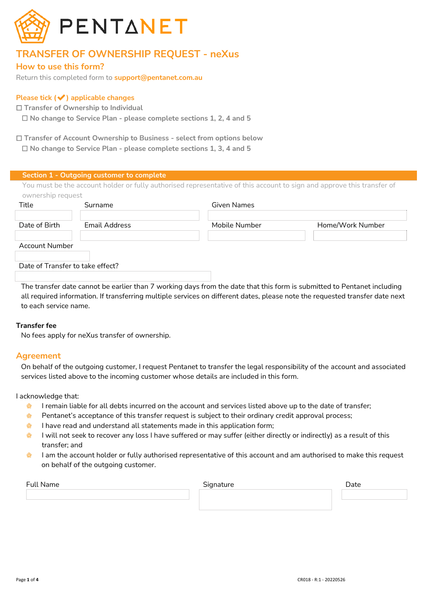

# **TRANSFER OF OWNERSHIP REQUEST - neXus**

## **How to use this form?**

Return this completed form to **support@pentanet.com.au**

## **Please tick (**✔**) applicable changes**

☐ **Transfer of Ownership to Individual**

☐ **No change to Service Plan - please complete sections 1, 2, 4 and 5**

☐ **Transfer of Account Ownership to Business - select from options below** ☐ **No change to Service Plan - please complete sections 1, 3, 4 and 5**

|                                  | Section 1 - Outgoing customer to complete |                                                                                                                        |                  |
|----------------------------------|-------------------------------------------|------------------------------------------------------------------------------------------------------------------------|------------------|
| ownership request                |                                           | You must be the account holder or fully authorised representative of this account to sign and approve this transfer of |                  |
| Title                            | Surname                                   | Given Names                                                                                                            |                  |
| Date of Birth                    | Email Address                             | Mobile Number                                                                                                          | Home/Work Number |
| <b>Account Number</b>            |                                           |                                                                                                                        |                  |
| Date of Transfer to take effect? |                                           |                                                                                                                        |                  |

The transfer date cannot be earlier than 7 working days from the date that this form is submitted to Pentanet including all required information. If transferring multiple services on different dates, please note the requested transfer date next to each service name.

## **Transfer fee**

No fees apply for neXus transfer of ownership.

## **Agreement**

On behalf of the outgoing customer, I request Pentanet to transfer the legal responsibility of the account and associated services listed above to the incoming customer whose details are included in this form.

I acknowledge that:

- $\bigcirc$ I remain liable for all debts incurred on the account and services listed above up to the date of transfer;
- $\bigcirc$ Pentanet's acceptance of this transfer request is subject to their ordinary credit approval process;
- I have read and understand all statements made in this application form;  $\bullet$
- I will not seek to recover any loss I have suffered or may suffer (either directly or indirectly) as a result of this **Q** transfer; and
- I am the account holder or fully authorised representative of this account and am authorised to make this request **RESIDENCE** on behalf of the outgoing customer.

| <b>Full Name</b> | $C_{\text{max}}$<br>ture<br>יור | -<br>Date |
|------------------|---------------------------------|-----------|
|                  |                                 |           |
|                  |                                 |           |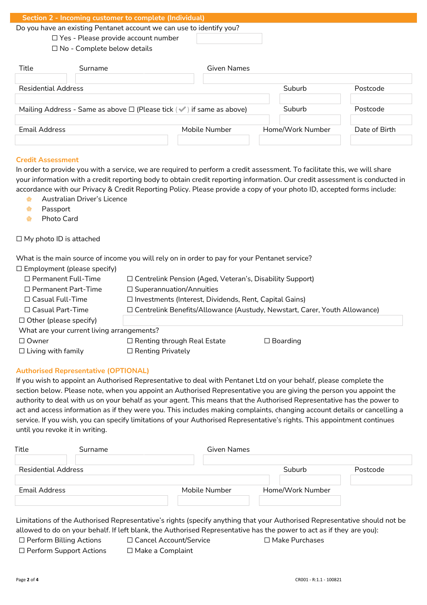| Surname |                                                                                  | Given Names |                                                                                                                                |
|---------|----------------------------------------------------------------------------------|-------------|--------------------------------------------------------------------------------------------------------------------------------|
|         | $\Box$ Yes - Please provide account number<br>$\Box$ No - Complete below details |             | Section 2 - Incoming customer to complete (Individual)<br>Do you have an existing Pentanet account we can use to identify you? |

| <b>Residential Address</b>                                                       |               | Suburb           | Postcode      |
|----------------------------------------------------------------------------------|---------------|------------------|---------------|
|                                                                                  |               |                  |               |
| Mailing Address - Same as above $\Box$ (Please tick $(\vee)$ ) if same as above) |               | Suburb           | Postcode      |
|                                                                                  |               |                  |               |
| Email Address                                                                    | Mobile Number | Home/Work Number | Date of Birth |
|                                                                                  |               |                  |               |

#### **Credit Assessment**

In order to provide you with a service, we are required to perform a credit assessment. To facilitate this, we will share your information with a credit reporting body to obtain credit reporting information. Our credit assessment is conducted in accordance with our Privacy & Credit Reporting Policy. Please provide a copy of your photo ID, accepted forms include:

- Ó Australian Driver's Licence
- $\qquad \qquad \text{ } \qquad \qquad \blacksquare$ Passport
- Photo Card  $\mathbb{R}$

#### □ My photo ID is attached

What is the main source of income you will rely on in order to pay for your Pentanet service?

| $\Box$ Employment (please specify)         |                                                                                  |                 |  |  |
|--------------------------------------------|----------------------------------------------------------------------------------|-----------------|--|--|
| $\Box$ Permanent Full-Time                 | □ Centrelink Pension (Aged, Veteran's, Disability Support)                       |                 |  |  |
| $\Box$ Permanent Part-Time                 | $\Box$ Superannuation/Annuities                                                  |                 |  |  |
| $\Box$ Casual Full-Time                    | $\Box$ Investments (Interest, Dividends, Rent, Capital Gains)                    |                 |  |  |
| $\Box$ Casual Part-Time                    | $\Box$ Centrelink Benefits/Allowance (Austudy, Newstart, Carer, Youth Allowance) |                 |  |  |
| $\Box$ Other (please specify)              |                                                                                  |                 |  |  |
| What are your current living arrangements? |                                                                                  |                 |  |  |
| $\Box$ Owner                               | $\Box$ Renting through Real Estate                                               | $\Box$ Boarding |  |  |
| $\Box$ Living with family                  | $\Box$ Renting Privately                                                         |                 |  |  |

#### **Authorised Representative (OPTIONAL)**

If you wish to appoint an Authorised Representative to deal with Pentanet Ltd on your behalf, please complete the section below. Please note, when you appoint an Authorised Representative you are giving the person you appoint the authority to deal with us on your behalf as your agent. This means that the Authorised Representative has the power to act and access information as if they were you. This includes making complaints, changing account details or cancelling a service. If you wish, you can specify limitations of your Authorised Representative's rights. This appointment continues until you revoke it in writing.

| Title               | Surname | Given Names   |                  |          |
|---------------------|---------|---------------|------------------|----------|
| Residential Address |         |               | Suburb           | Postcode |
| Email Address       |         | Mobile Number | Home/Work Number |          |
|                     |         |               |                  |          |

Limitations of the Authorised Representative's rights (specify anything that your Authorised Representative should not be allowed to do on your behalf. If left blank, the Authorised Representative has the power to act as if they are you):

| $\Box$ Perform Billing Actions | □ Cancel Account/Service | $\Box$ Make Purchases |
|--------------------------------|--------------------------|-----------------------|
|--------------------------------|--------------------------|-----------------------|

- ☐ Perform Support Actions ☐ Make a Complaint
	-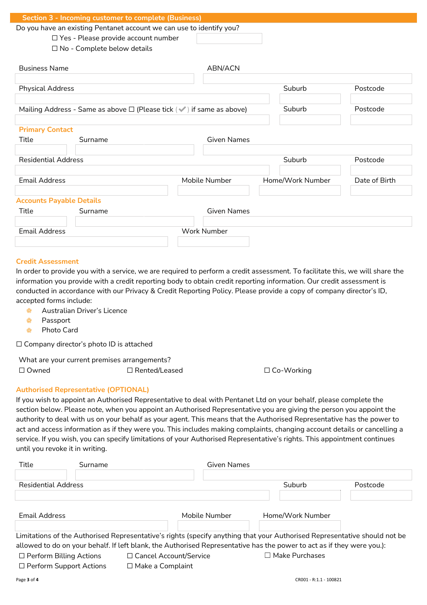|                                 | Section 3 - Incoming customer to complete (Business)                                          |                    |                  |               |
|---------------------------------|-----------------------------------------------------------------------------------------------|--------------------|------------------|---------------|
|                                 | Do you have an existing Pentanet account we can use to identify you?                          |                    |                  |               |
|                                 | □ Yes - Please provide account number                                                         |                    |                  |               |
|                                 | $\Box$ No - Complete below details                                                            |                    |                  |               |
|                                 |                                                                                               |                    |                  |               |
| <b>Business Name</b>            |                                                                                               | ABN/ACN            |                  |               |
|                                 |                                                                                               |                    |                  |               |
| <b>Physical Address</b>         |                                                                                               |                    | Suburb           | Postcode      |
|                                 | Mailing Address - Same as above $\Box$ (Please tick $(\blacktriangleright)$ if same as above) |                    | Suburb           | Postcode      |
|                                 |                                                                                               |                    |                  |               |
| <b>Primary Contact</b>          |                                                                                               |                    |                  |               |
| Title                           | Surname                                                                                       | <b>Given Names</b> |                  |               |
|                                 |                                                                                               |                    |                  |               |
| <b>Residential Address</b>      |                                                                                               |                    | Suburb           | Postcode      |
|                                 |                                                                                               |                    |                  |               |
| <b>Email Address</b>            |                                                                                               | Mobile Number      | Home/Work Number | Date of Birth |
|                                 |                                                                                               |                    |                  |               |
| <b>Accounts Payable Details</b> |                                                                                               |                    |                  |               |
| Title                           | Surname                                                                                       | <b>Given Names</b> |                  |               |
|                                 |                                                                                               |                    |                  |               |
| <b>Email Address</b>            |                                                                                               | <b>Work Number</b> |                  |               |
|                                 |                                                                                               |                    |                  |               |

#### **Credit Assessment**

In order to provide you with a service, we are required to perform a credit assessment. To facilitate this, we will share the information you provide with a credit reporting body to obtain credit reporting information. Our credit assessment is conducted in accordance with our Privacy & Credit Reporting Policy. Please provide a copy of company director's ID, accepted forms include:

- ✿ Australian Driver's Licence
- ✿ Passport
- Photo Card  $\bigcirc$

☐ Company director's photo ID is attached

What are your current premises arrangements?

☐ Owned ☐ Rented/Leased ☐ Co-Working

#### **Authorised Representative (OPTIONAL)**

If you wish to appoint an Authorised Representative to deal with Pentanet Ltd on your behalf, please complete the section below. Please note, when you appoint an Authorised Representative you are giving the person you appoint the authority to deal with us on your behalf as your agent. This means that the Authorised Representative has the power to act and access information as if they were you. This includes making complaints, changing account details or cancelling a service. If you wish, you can specify limitations of your Authorised Representative's rights. This appointment continues until you revoke it in writing.

| Title                          | Surname                                                                                                                   | Given Names   |                       |          |
|--------------------------------|---------------------------------------------------------------------------------------------------------------------------|---------------|-----------------------|----------|
|                                |                                                                                                                           |               |                       |          |
| Residential Address            |                                                                                                                           |               | Suburb                | Postcode |
|                                |                                                                                                                           |               |                       |          |
| Email Address                  |                                                                                                                           | Mobile Number | Home/Work Number      |          |
|                                |                                                                                                                           |               |                       |          |
|                                | Limitations of the Authorised Representative's rights (specify anything that your Authorised Representative should not be |               |                       |          |
|                                | allowed to do on your behalf. If left blank, the Authorised Representative has the power to act as if they were you.):    |               |                       |          |
| $\Box$ Perform Billing Actions | □ Cancel Account/Service                                                                                                  |               | $\Box$ Make Purchases |          |

☐ Perform Support Actions ☐ Make a Complaint